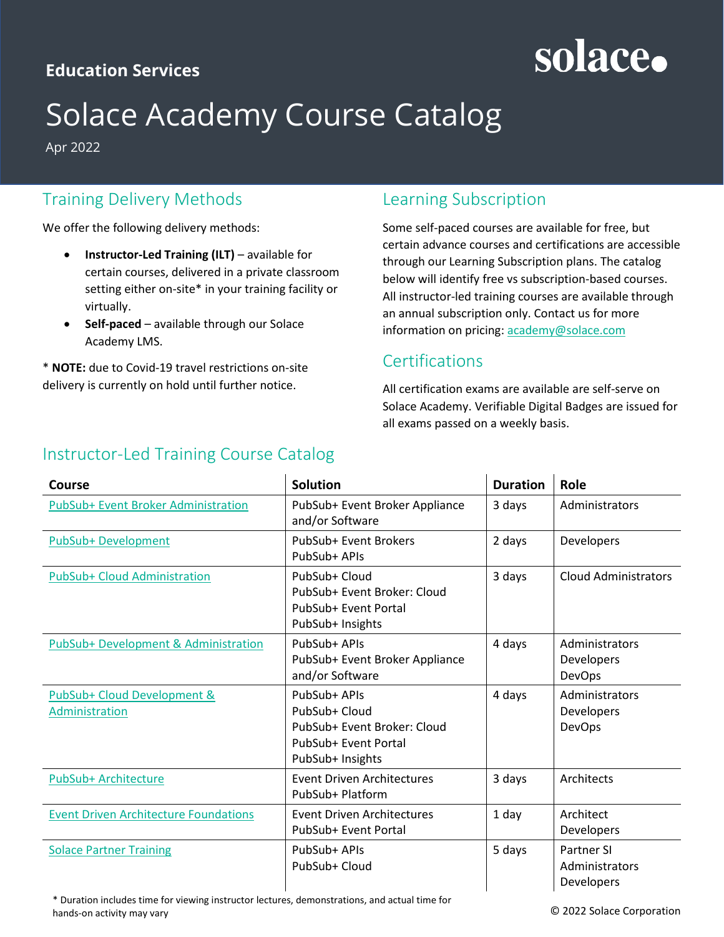## **Education Services**

## solace.

## Solace Academy Course Catalog

Apr 2022

## Training Delivery Methods

We offer the following delivery methods:

- **Instructor-Led Training (ILT)** available for certain courses, delivered in a private classroom setting either on-site\* in your training facility or virtually.
- **Self-paced** available through our Solace Academy LMS.

\* **NOTE:** due to Covid-19 travel restrictions on-site delivery is currently on hold until further notice.

## Learning Subscription

Some self-paced courses are available for free, but certain advance courses and certifications are accessible through our Learning Subscription plans. The catalog below will identify free vs subscription-based courses. All instructor-led training courses are available through an annual subscription only. Contact us for more information on pricing: [academy@solace.com](mailto:academy@solace.com)

### **Certifications**

All certification exams are available are self-serve on Solace Academy. Verifiable Digital Badges are issued for all exams passed on a weekly basis.

| Course                                        | <b>Solution</b>                                                                                          | <b>Duration</b> | Role                                              |
|-----------------------------------------------|----------------------------------------------------------------------------------------------------------|-----------------|---------------------------------------------------|
| PubSub+ Event Broker Administration           | PubSub+ Event Broker Appliance<br>and/or Software                                                        | 3 days          | Administrators                                    |
| PubSub+ Development                           | PubSub+ Event Brokers<br>PubSub+ APIs                                                                    | 2 days          | Developers                                        |
| PubSub+ Cloud Administration                  | PubSub+ Cloud<br>PubSub+ Event Broker: Cloud<br>PubSub+ Event Portal<br>PubSub+ Insights                 | 3 days          | <b>Cloud Administrators</b>                       |
| PubSub+ Development & Administration          | PubSub+ APIs<br>PubSub+ Event Broker Appliance<br>and/or Software                                        | 4 days          | Administrators<br>Developers<br><b>DevOps</b>     |
| PubSub+ Cloud Development &<br>Administration | PubSub+ APIs<br>PubSub+ Cloud<br>PubSub+ Event Broker: Cloud<br>PubSub+ Event Portal<br>PubSub+ Insights | 4 days          | Administrators<br>Developers<br><b>DevOps</b>     |
| PubSub+ Architecture                          | <b>Event Driven Architectures</b><br>PubSub+ Platform                                                    | 3 days          | Architects                                        |
| <b>Event Driven Architecture Foundations</b>  | Event Driven Architectures<br>PubSub+ Event Portal                                                       | 1 day           | Architect<br><b>Developers</b>                    |
| <b>Solace Partner Training</b>                | PubSub+ APIs<br>PubSub+ Cloud                                                                            | 5 days          | <b>Partner SI</b><br>Administrators<br>Developers |

## Instructor-Led Training Course Catalog

\* Duration includes time for viewing instructor lectures, demonstrations, and actual time for hands-on activity may vary

© 2022 Solace Corporation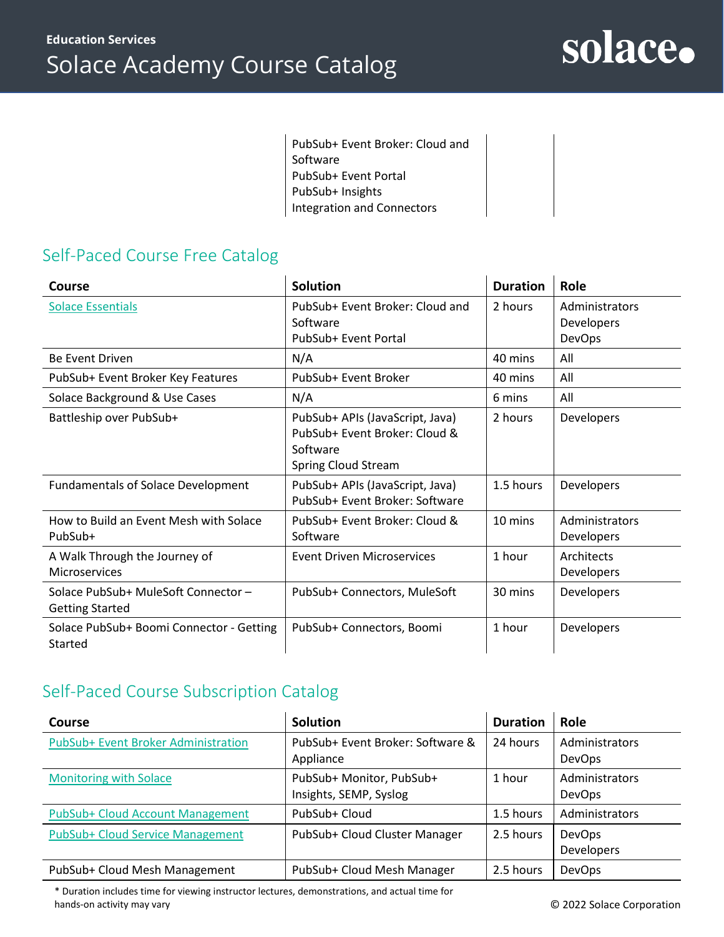PubSub+ Event Broker: Cloud and Software PubSub+ Event Portal PubSub+ Insights Integration and Connectors

## Self-Paced Course Free Catalog

| Course                                                        | <b>Solution</b>                                                                                     | <b>Duration</b> | Role                                                 |
|---------------------------------------------------------------|-----------------------------------------------------------------------------------------------------|-----------------|------------------------------------------------------|
| <b>Solace Essentials</b>                                      | PubSub+ Event Broker: Cloud and<br>Software<br>PubSub+ Event Portal                                 | 2 hours         | Administrators<br><b>Developers</b><br><b>DevOps</b> |
| Be Event Driven                                               | N/A                                                                                                 | 40 mins         | All                                                  |
| PubSub+ Event Broker Key Features                             | PubSub+ Event Broker                                                                                | 40 mins         | All                                                  |
| Solace Background & Use Cases                                 | N/A                                                                                                 | 6 mins          | All                                                  |
| Battleship over PubSub+                                       | PubSub+ APIs (JavaScript, Java)<br>PubSub+ Event Broker: Cloud &<br>Software<br>Spring Cloud Stream | 2 hours         | <b>Developers</b>                                    |
| <b>Fundamentals of Solace Development</b>                     | PubSub+ APIs (JavaScript, Java)<br>PubSub+ Event Broker: Software                                   | 1.5 hours       | <b>Developers</b>                                    |
| How to Build an Event Mesh with Solace<br>PubSub+             | PubSub+ Event Broker: Cloud &<br>Software                                                           | 10 mins         | Administrators<br><b>Developers</b>                  |
| A Walk Through the Journey of<br><b>Microservices</b>         | <b>Event Driven Microservices</b>                                                                   | 1 hour          | Architects<br><b>Developers</b>                      |
| Solace PubSub+ MuleSoft Connector -<br><b>Getting Started</b> | PubSub+ Connectors, MuleSoft                                                                        | 30 mins         | <b>Developers</b>                                    |
| Solace PubSub+ Boomi Connector - Getting<br>Started           | PubSub+ Connectors, Boomi                                                                           | 1 hour          | <b>Developers</b>                                    |

## Self-Paced Course Subscription Catalog

| Course                              | <b>Solution</b>                                    | <b>Duration</b> | Role                            |
|-------------------------------------|----------------------------------------------------|-----------------|---------------------------------|
| PubSub+ Event Broker Administration | PubSub+ Event Broker: Software &<br>Appliance      | 24 hours        | Administrators<br><b>DevOps</b> |
| <b>Monitoring with Solace</b>       | PubSub+ Monitor, PubSub+<br>Insights, SEMP, Syslog | 1 hour          | Administrators<br><b>DevOps</b> |
| PubSub+ Cloud Account Management    | PubSub+ Cloud                                      | 1.5 hours       | Administrators                  |
| PubSub+ Cloud Service Management    | PubSub+ Cloud Cluster Manager                      | 2.5 hours       | DevOps<br><b>Developers</b>     |
| PubSub+ Cloud Mesh Management       | PubSub+ Cloud Mesh Manager                         | 2.5 hours       | <b>DevOps</b>                   |

\* Duration includes time for viewing instructor lectures, demonstrations, and actual time for hands-on activity may vary

© 2022 Solace Corporation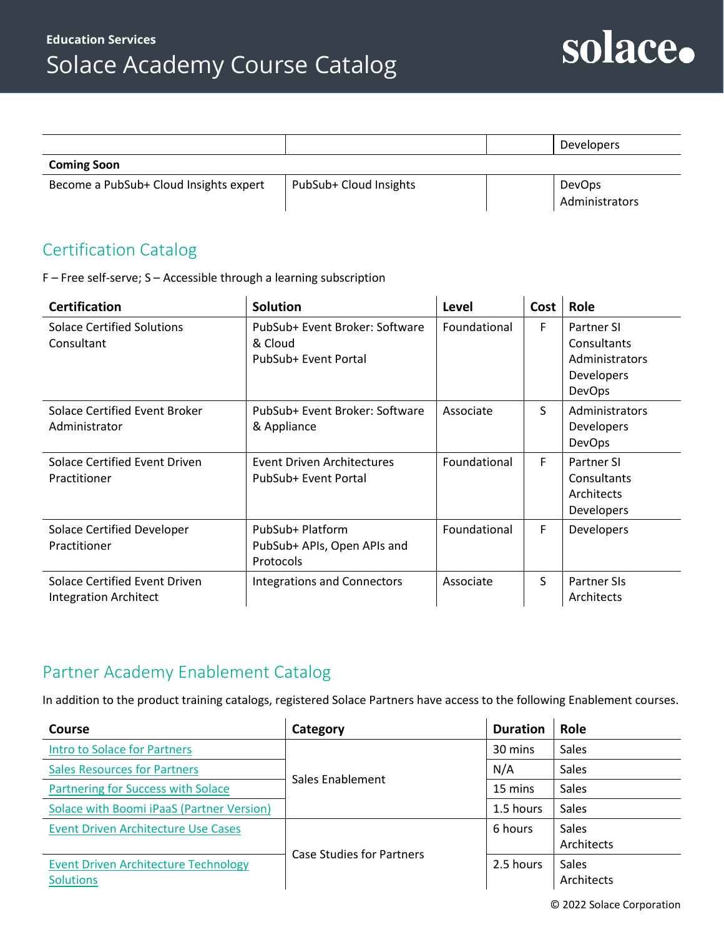

Administrators

|                                        |                        | <b>Developers</b>                      |
|----------------------------------------|------------------------|----------------------------------------|
| <b>Coming Soon</b>                     |                        |                                        |
| Become a PubSub+ Cloud Insights expert | PubSub+ Cloud Insights | <b>DevOps</b><br><b>Administrators</b> |

## Certification Catalog

F – Free self-serve; S – Accessible through a learning subscription

| <b>Certification</b>                                   | <b>Solution</b>                                                   | Level        | Cost | Role                                                                       |
|--------------------------------------------------------|-------------------------------------------------------------------|--------------|------|----------------------------------------------------------------------------|
| <b>Solace Certified Solutions</b><br>Consultant        | PubSub+ Event Broker: Software<br>& Cloud<br>PubSub+ Event Portal | Foundational | F    | <b>Partner SI</b><br>Consultants<br>Administrators<br>Developers<br>DevOps |
| Solace Certified Event Broker<br>Administrator         | PubSub+ Event Broker: Software<br>& Appliance                     | Associate    | S    | Administrators<br><b>Developers</b><br><b>DevOps</b>                       |
| Solace Certified Event Driven<br>Practitioner          | Event Driven Architectures<br>PubSub+ Event Portal                | Foundational | F    | Partner SI<br>Consultants<br>Architects<br><b>Developers</b>               |
| Solace Certified Developer<br>Practitioner             | PubSub+ Platform<br>PubSub+ APIs, Open APIs and<br>Protocols      | Foundational | F    | Developers                                                                 |
| Solace Certified Event Driven<br>Integration Architect | <b>Integrations and Connectors</b>                                | Associate    | S    | <b>Partner SIs</b><br>Architects                                           |

### Partner Academy Enablement Catalog

In addition to the product training catalogs, registered Solace Partners have access to the following Enablement courses.

| Course                                                          | Category                         | <b>Duration</b> | <b>Role</b>                |
|-----------------------------------------------------------------|----------------------------------|-----------------|----------------------------|
| <b>Intro to Solace for Partners</b>                             |                                  | 30 mins         | Sales                      |
| <b>Sales Resources for Partners</b>                             | Sales Enablement                 | N/A             | Sales                      |
| Partnering for Success with Solace                              |                                  | 15 mins         | Sales                      |
| Solace with Boomi iPaaS (Partner Version)                       |                                  | 1.5 hours       | <b>Sales</b>               |
| <b>Event Driven Architecture Use Cases</b>                      | <b>Case Studies for Partners</b> | 6 hours         | <b>Sales</b><br>Architects |
| <b>Event Driven Architecture Technology</b><br><b>Solutions</b> |                                  | 2.5 hours       | <b>Sales</b><br>Architects |

© 2022 Solace Corporation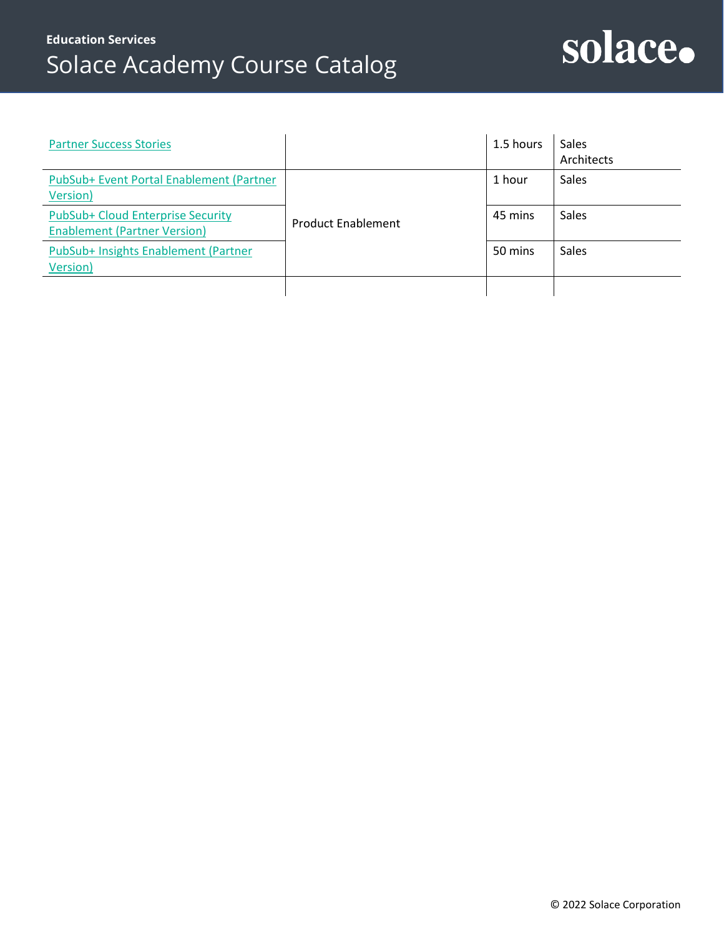## **Education Services** Solace Academy Course Catalog

## solace.

| <b>Partner Success Stories</b>                                           |                           | 1.5 hours | Sales<br>Architects |
|--------------------------------------------------------------------------|---------------------------|-----------|---------------------|
| PubSub+ Event Portal Enablement (Partner<br>Version)                     |                           | 1 hour    | Sales               |
| PubSub+ Cloud Enterprise Security<br><b>Enablement (Partner Version)</b> | <b>Product Enablement</b> | 45 mins   | <b>Sales</b>        |
| PubSub+ Insights Enablement (Partner<br>Version)                         |                           | 50 mins   | <b>Sales</b>        |
|                                                                          |                           |           |                     |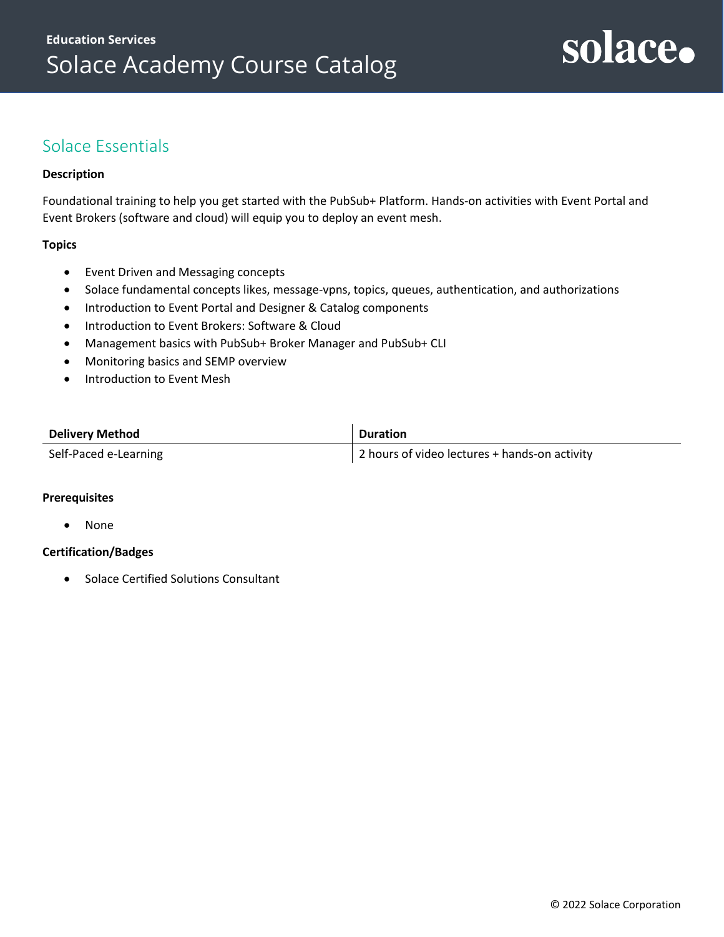## <span id="page-4-0"></span>Solace Essentials

#### **Description**

Foundational training to help you get started with the PubSub+ Platform. Hands-on activities with Event Portal and Event Brokers (software and cloud) will equip you to deploy an event mesh.

#### **Topics**

- Event Driven and Messaging concepts
- Solace fundamental concepts likes, message-vpns, topics, queues, authentication, and authorizations
- Introduction to Event Portal and Designer & Catalog components
- Introduction to Event Brokers: Software & Cloud
- Management basics with PubSub+ Broker Manager and PubSub+ CLI
- Monitoring basics and SEMP overview
- Introduction to Event Mesh

| <b>Delivery Method</b> | <b>Duration</b>                               |
|------------------------|-----------------------------------------------|
| Self-Paced e-Learning  | 2 hours of video lectures + hands-on activity |

#### **Prerequisites**

• None

#### **Certification/Badges**

• Solace Certified Solutions Consultant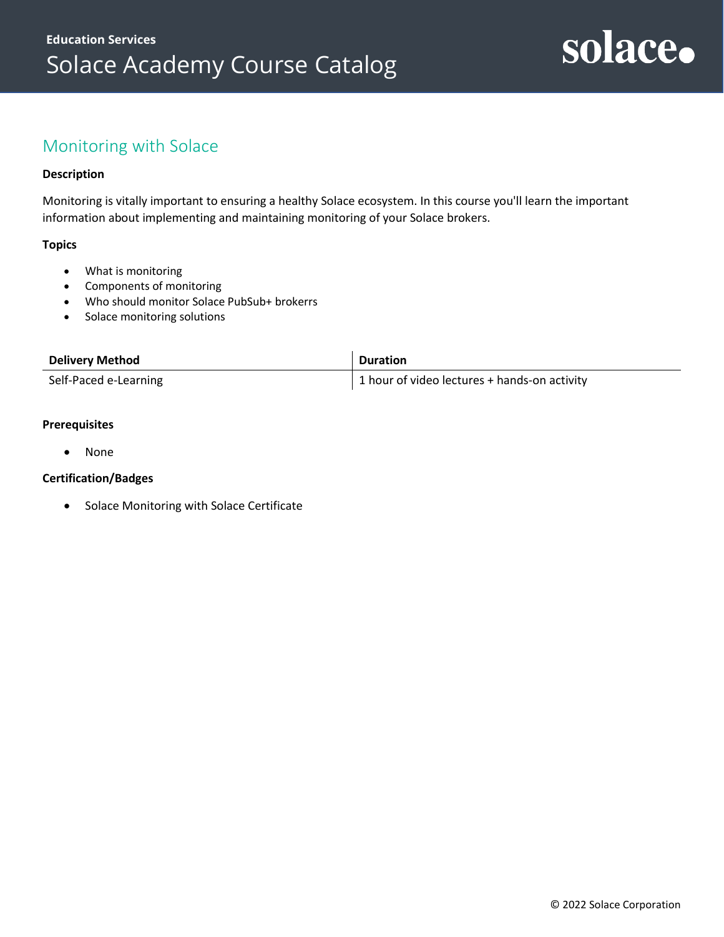## <span id="page-5-0"></span>Monitoring with Solace

#### **Description**

Monitoring is vitally important to ensuring a healthy Solace ecosystem. In this course you'll learn the important information about implementing and maintaining monitoring of your Solace brokers.

#### **Topics**

- What is monitoring
- Components of monitoring
- Who should monitor Solace PubSub+ brokerrs
- Solace monitoring solutions

| <b>Delivery Method</b> | <b>Duration</b>                                |
|------------------------|------------------------------------------------|
| Self-Paced e-Learning  | 1 1 hour of video lectures + hands-on activity |

#### **Prerequisites**

• None

#### **Certification/Badges**

• Solace Monitoring with Solace Certificate

solace.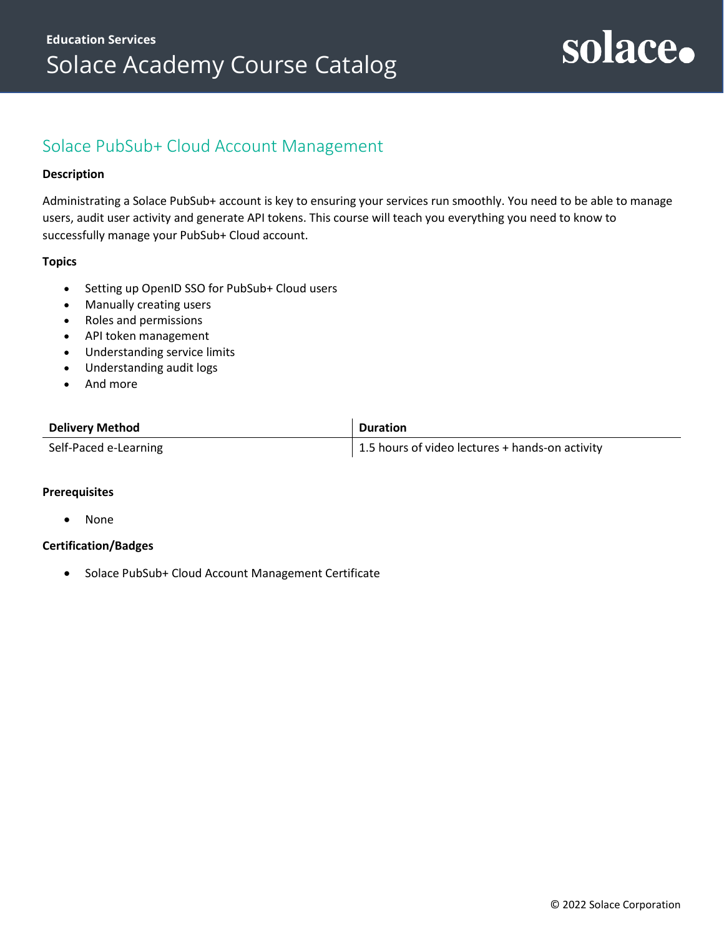### <span id="page-6-0"></span>Solace PubSub+ Cloud Account Management

#### **Description**

Administrating a Solace PubSub+ account is key to ensuring your services run smoothly. You need to be able to manage users, audit user activity and generate API tokens. This course will teach you everything you need to know to successfully manage your PubSub+ Cloud account.

#### **Topics**

- Setting up OpenID SSO for PubSub+ Cloud users
- Manually creating users
- Roles and permissions
- API token management
- Understanding service limits
- Understanding audit logs
- And more

| <b>Delivery Method</b> | <b>Duration</b>                                 |
|------------------------|-------------------------------------------------|
| Self-Paced e-Learning  | 1.5 hours of video lectures + hands-on activity |

#### **Prerequisites**

• None

#### **Certification/Badges**

• Solace PubSub+ Cloud Account Management Certificate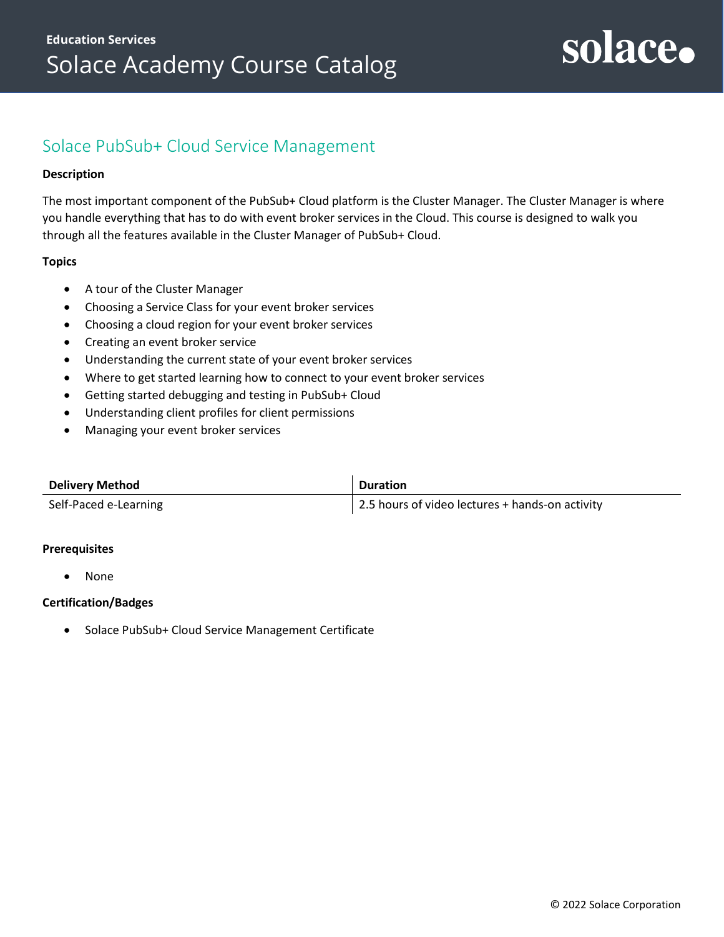### <span id="page-7-0"></span>Solace PubSub+ Cloud Service Management

#### **Description**

The most important component of the PubSub+ Cloud platform is the Cluster Manager. The Cluster Manager is where you handle everything that has to do with event broker services in the Cloud. This course is designed to walk you through all the features available in the Cluster Manager of PubSub+ Cloud.

#### **Topics**

- A tour of the Cluster Manager
- Choosing a Service Class for your event broker services
- Choosing a cloud region for your event broker services
- Creating an event broker service
- Understanding the current state of your event broker services
- Where to get started learning how to connect to your event broker services
- Getting started debugging and testing in PubSub+ Cloud
- Understanding client profiles for client permissions
- Managing your event broker services

| <b>Delivery Method</b> | <b>Duration</b>                                 |
|------------------------|-------------------------------------------------|
| Self-Paced e-Learning  | 2.5 hours of video lectures + hands-on activity |

#### **Prerequisites**

• None

#### **Certification/Badges**

• Solace PubSub+ Cloud Service Management Certificate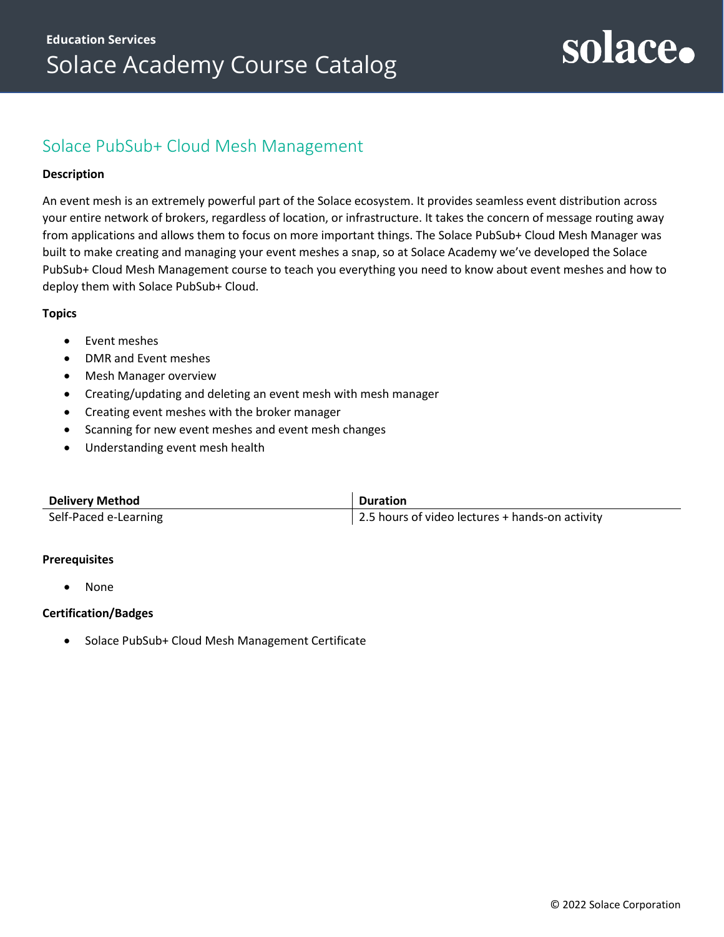## Solace PubSub+ Cloud Mesh Management

#### **Description**

An event mesh is an extremely powerful part of the Solace ecosystem. It provides seamless event distribution across your entire network of brokers, regardless of location, or infrastructure. It takes the concern of message routing away from applications and allows them to focus on more important things. The Solace PubSub+ Cloud Mesh Manager was built to make creating and managing your event meshes a snap, so at Solace Academy we've developed the Solace PubSub+ Cloud Mesh Management course to teach you everything you need to know about event meshes and how to deploy them with Solace PubSub+ Cloud.

#### **Topics**

- Event meshes
- DMR and Event meshes
- Mesh Manager overview
- Creating/updating and deleting an event mesh with mesh manager
- Creating event meshes with the broker manager
- Scanning for new event meshes and event mesh changes
- Understanding event mesh health

| <b>Delivery Method</b> | <b>Duration</b>                                 |
|------------------------|-------------------------------------------------|
| Self-Paced e-Learning  | 2.5 hours of video lectures + hands-on activity |

#### **Prerequisites**

• None

#### **Certification/Badges**

• Solace PubSub+ Cloud Mesh Management Certificate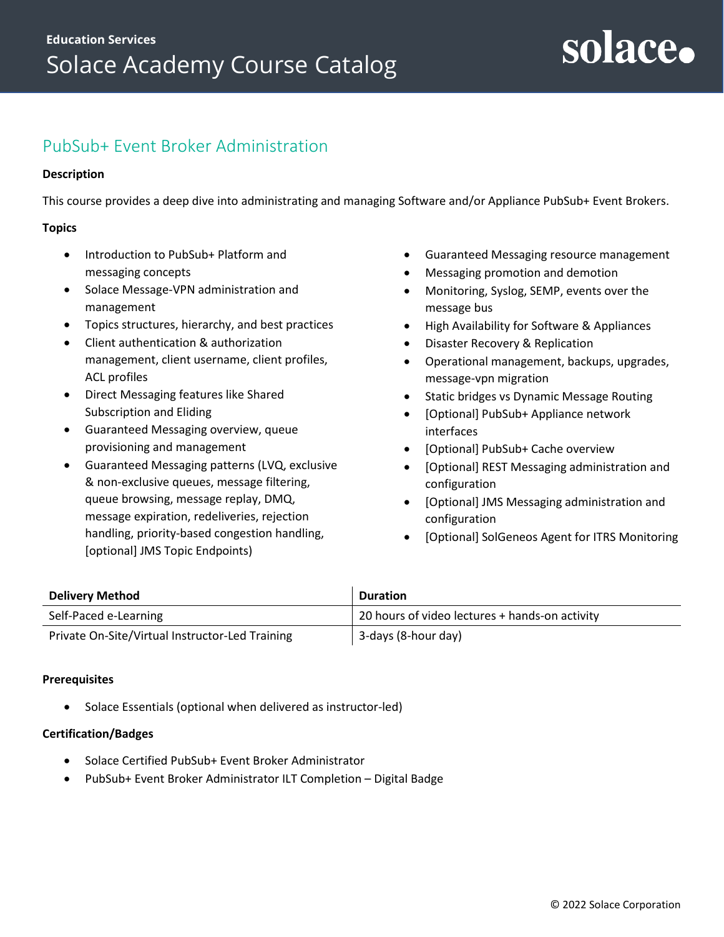## <span id="page-9-0"></span>PubSub+ Event Broker Administration

#### **Description**

This course provides a deep dive into administrating and managing Software and/or Appliance PubSub+ Event Brokers.

#### **Topics**

- Introduction to PubSub+ Platform and messaging concepts
- Solace Message-VPN administration and management
- Topics structures, hierarchy, and best practices
- Client authentication & authorization management, client username, client profiles, ACL profiles
- Direct Messaging features like Shared Subscription and Eliding
- Guaranteed Messaging overview, queue provisioning and management
- Guaranteed Messaging patterns (LVQ, exclusive & non-exclusive queues, message filtering, queue browsing, message replay, DMQ, message expiration, redeliveries, rejection handling, priority-based congestion handling, [optional] JMS Topic Endpoints)
- Guaranteed Messaging resource management
- Messaging promotion and demotion
- Monitoring, Syslog, SEMP, events over the message bus
- High Availability for Software & Appliances
- Disaster Recovery & Replication
- Operational management, backups, upgrades, message-vpn migration
- Static bridges vs Dynamic Message Routing
- [Optional] PubSub+ Appliance network interfaces
- [Optional] PubSub+ Cache overview
- [Optional] REST Messaging administration and configuration
- [Optional] JMS Messaging administration and configuration
- [Optional] SolGeneos Agent for ITRS Monitoring

| <b>Delivery Method</b>                          | <b>Duration</b>                                |
|-------------------------------------------------|------------------------------------------------|
| Self-Paced e-Learning                           | 20 hours of video lectures + hands-on activity |
| Private On-Site/Virtual Instructor-Led Training | 3-days (8-hour day)                            |

#### **Prerequisites**

• [Solace Essentials](#page-4-0) (optional when delivered as instructor-led)

- Solace Certified PubSub+ Event Broker Administrator
- PubSub+ Event Broker Administrator ILT Completion Digital Badge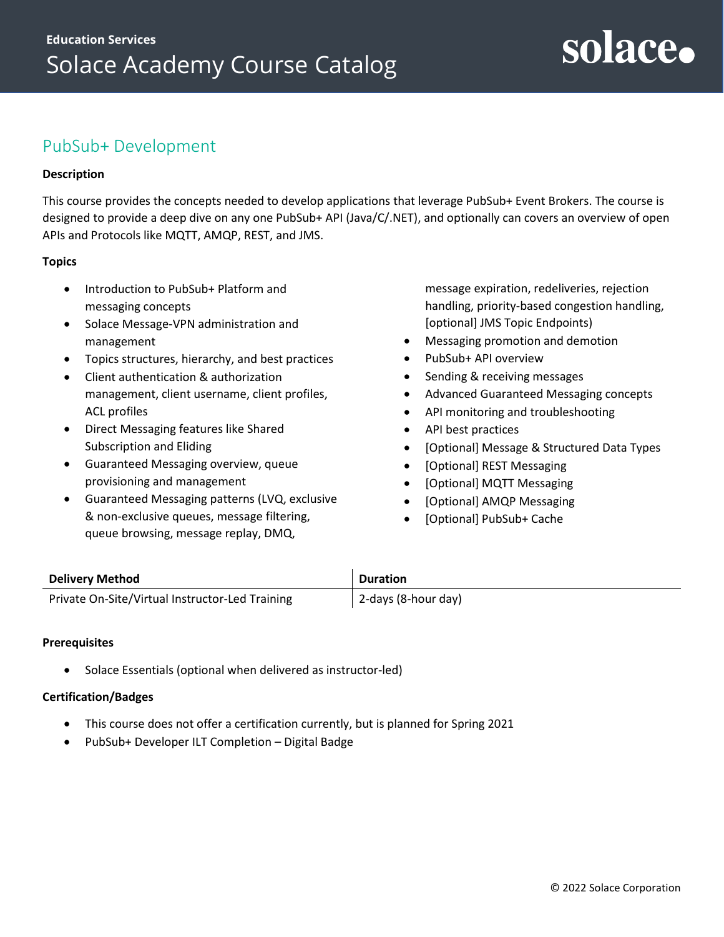## <span id="page-10-0"></span>PubSub+ Development

#### **Description**

This course provides the concepts needed to develop applications that leverage PubSub+ Event Brokers. The course is designed to provide a deep dive on any one PubSub+ API (Java/C/.NET), and optionally can covers an overview of open APIs and Protocols like MQTT, AMQP, REST, and JMS.

#### **Topics**

- Introduction to PubSub+ Platform and messaging concepts
- Solace Message-VPN administration and management
- Topics structures, hierarchy, and best practices
- Client authentication & authorization management, client username, client profiles, ACL profiles
- Direct Messaging features like Shared Subscription and Eliding
- Guaranteed Messaging overview, queue provisioning and management
- Guaranteed Messaging patterns (LVQ, exclusive & non-exclusive queues, message filtering, queue browsing, message replay, DMQ,

message expiration, redeliveries, rejection handling, priority-based congestion handling, [optional] JMS Topic Endpoints)

solace.

- Messaging promotion and demotion
- PubSub+ API overview
- Sending & receiving messages
- Advanced Guaranteed Messaging concepts
- API monitoring and troubleshooting
- API best practices
- [Optional] Message & Structured Data Types
- [Optional] REST Messaging
- [Optional] MQTT Messaging
- [Optional] AMQP Messaging
- [Optional] PubSub+ Cache

| <b>Delivery Method</b>                          | <b>Duration</b>     |
|-------------------------------------------------|---------------------|
| Private On-Site/Virtual Instructor-Led Training | 2-days (8-hour day) |

#### **Prerequisites**

• [Solace Essentials](#page-4-0) (optional when delivered as instructor-led)

- This course does not offer a certification currently, but is planned for Spring 2021
- PubSub+ Developer ILT Completion Digital Badge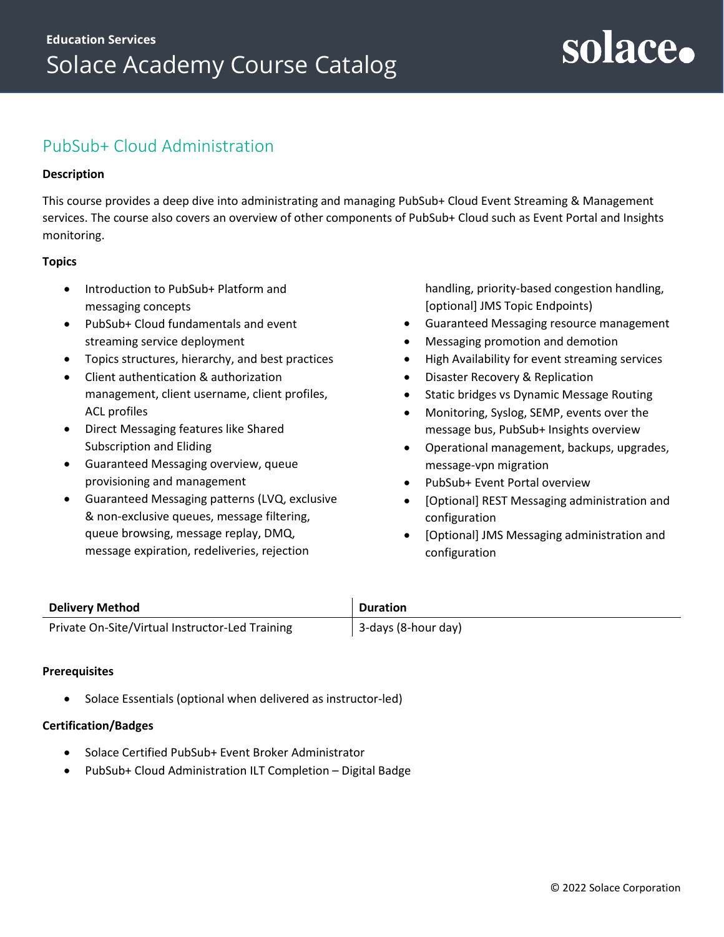### <span id="page-11-0"></span>PubSub+ Cloud Administration

#### **Description**

This course provides a deep dive into administrating and managing PubSub+ Cloud Event Streaming & Management services. The course also covers an overview of other components of PubSub+ Cloud such as Event Portal and Insights monitoring.

#### **Topics**

- Introduction to PubSub+ Platform and messaging concepts
- PubSub+ Cloud fundamentals and event streaming service deployment
- Topics structures, hierarchy, and best practices
- Client authentication & authorization management, client username, client profiles, ACL profiles
- Direct Messaging features like Shared Subscription and Eliding
- Guaranteed Messaging overview, queue provisioning and management
- Guaranteed Messaging patterns (LVQ, exclusive & non-exclusive queues, message filtering, queue browsing, message replay, DMQ, message expiration, redeliveries, rejection

handling, priority-based congestion handling, [optional] JMS Topic Endpoints)

- Guaranteed Messaging resource management
- Messaging promotion and demotion
- High Availability for event streaming services
- Disaster Recovery & Replication
- Static bridges vs Dynamic Message Routing
- Monitoring, Syslog, SEMP, events over the message bus, PubSub+ Insights overview
- Operational management, backups, upgrades, message-vpn migration
- PubSub+ Event Portal overview
- [Optional] REST Messaging administration and configuration
- [Optional] JMS Messaging administration and configuration

| <b>Delivery Method</b>                          | <b>Duration</b>     |
|-------------------------------------------------|---------------------|
| Private On-Site/Virtual Instructor-Led Training | 3-days (8-hour day) |

#### **Prerequisites**

• [Solace Essentials](#page-4-0) (optional when delivered as instructor-led)

- Solace Certified PubSub+ Event Broker Administrator
- PubSub+ Cloud Administration ILT Completion Digital Badge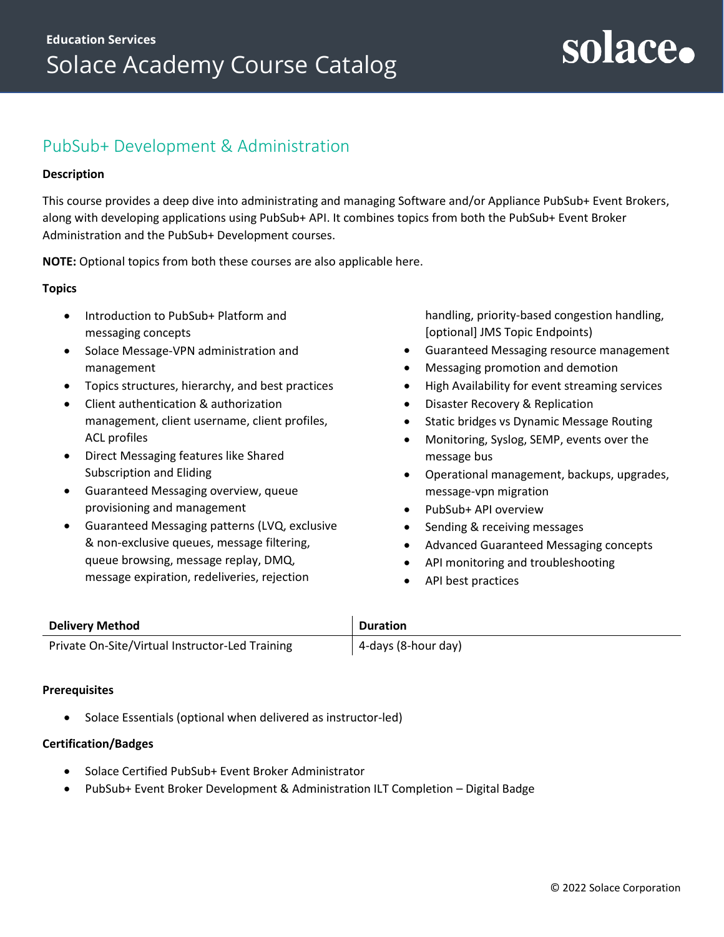### <span id="page-12-0"></span>PubSub+ Development & Administration

#### **Description**

This course provides a deep dive into administrating and managing Software and/or Appliance PubSub+ Event Brokers, along with developing applications using PubSub+ API. It combines topics from both the [PubSub+ Event Broker](#page-9-0)  [Administration](#page-9-0) and the [PubSub+ Development](#page-10-0) courses.

**NOTE:** Optional topics from both these courses are also applicable here.

#### **Topics**

- Introduction to PubSub+ Platform and messaging concepts
- Solace Message-VPN administration and management
- Topics structures, hierarchy, and best practices
- Client authentication & authorization management, client username, client profiles, ACL profiles
- Direct Messaging features like Shared Subscription and Eliding
- Guaranteed Messaging overview, queue provisioning and management
- Guaranteed Messaging patterns (LVQ, exclusive & non-exclusive queues, message filtering, queue browsing, message replay, DMQ, message expiration, redeliveries, rejection

handling, priority-based congestion handling, [optional] JMS Topic Endpoints)

- Guaranteed Messaging resource management
- Messaging promotion and demotion
- High Availability for event streaming services
- Disaster Recovery & Replication
- Static bridges vs Dynamic Message Routing
- Monitoring, Syslog, SEMP, events over the message bus
- Operational management, backups, upgrades, message-vpn migration
- PubSub+ API overview
- Sending & receiving messages
- Advanced Guaranteed Messaging concepts
- API monitoring and troubleshooting
- API best practices

| <b>Delivery Method</b>                          | <b>Duration</b>     |
|-------------------------------------------------|---------------------|
| Private On-Site/Virtual Instructor-Led Training | 4-days (8-hour day) |

#### **Prerequisites**

• [Solace Essentials](#page-4-0) (optional when delivered as instructor-led)

- Solace Certified PubSub+ Event Broker Administrator
- PubSub+ Event Broker Development & Administration ILT Completion Digital Badge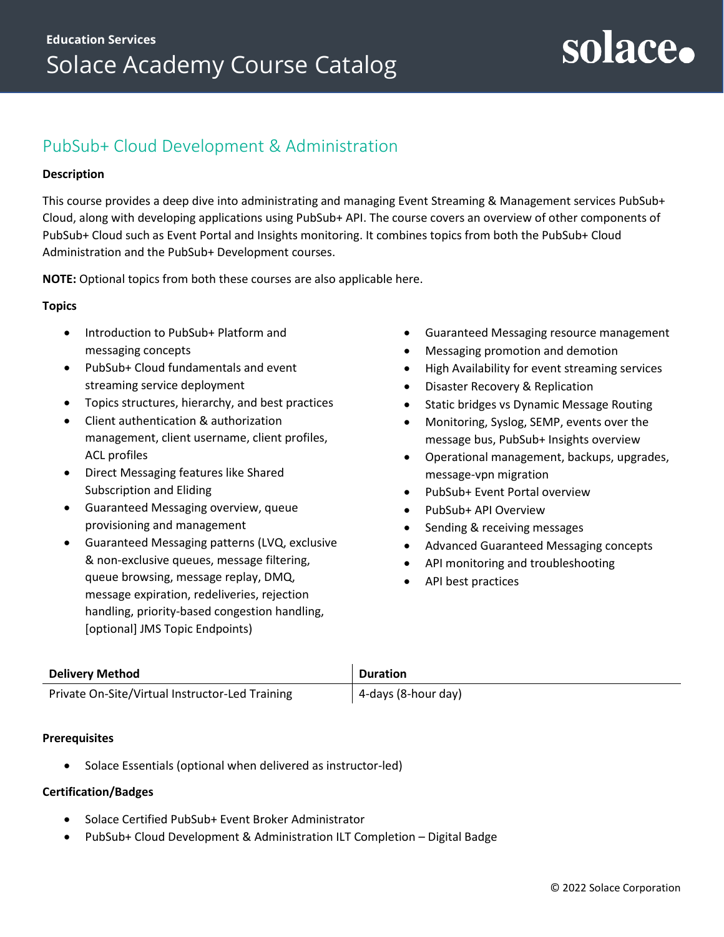## <span id="page-13-0"></span>PubSub+ Cloud Development & Administration

#### **Description**

This course provides a deep dive into administrating and managing Event Streaming & Management services PubSub+ Cloud, along with developing applications using PubSub+ API. The course covers an overview of other components of PubSub+ Cloud such as Event Portal and Insights monitoring. It combines topics from both the [PubSub+ Cloud](#page-11-0)  [Administration](#page-11-0) and the [PubSub+ Development](#page-10-0) courses.

**NOTE:** Optional topics from both these courses are also applicable here.

#### **Topics**

- Introduction to PubSub+ Platform and messaging concepts
- PubSub+ Cloud fundamentals and event streaming service deployment
- Topics structures, hierarchy, and best practices
- Client authentication & authorization management, client username, client profiles, ACL profiles
- Direct Messaging features like Shared Subscription and Eliding
- Guaranteed Messaging overview, queue provisioning and management
- Guaranteed Messaging patterns (LVQ, exclusive & non-exclusive queues, message filtering, queue browsing, message replay, DMQ, message expiration, redeliveries, rejection handling, priority-based congestion handling, [optional] JMS Topic Endpoints)
- Guaranteed Messaging resource management
- Messaging promotion and demotion
- High Availability for event streaming services
- Disaster Recovery & Replication
- Static bridges vs Dynamic Message Routing
- Monitoring, Syslog, SEMP, events over the message bus, PubSub+ Insights overview
- Operational management, backups, upgrades, message-vpn migration
- PubSub+ Event Portal overview
- PubSub+ API Overview
- Sending & receiving messages
- Advanced Guaranteed Messaging concepts
- API monitoring and troubleshooting
- API best practices

| <b>Delivery Method</b>                          | <b>Duration</b>     |
|-------------------------------------------------|---------------------|
| Private On-Site/Virtual Instructor-Led Training | 4-days (8-hour day) |

#### **Prerequisites**

• [Solace Essentials](#page-4-0) (optional when delivered as instructor-led)

- Solace Certified PubSub+ Event Broker Administrator
- PubSub+ Cloud Development & Administration ILT Completion Digital Badge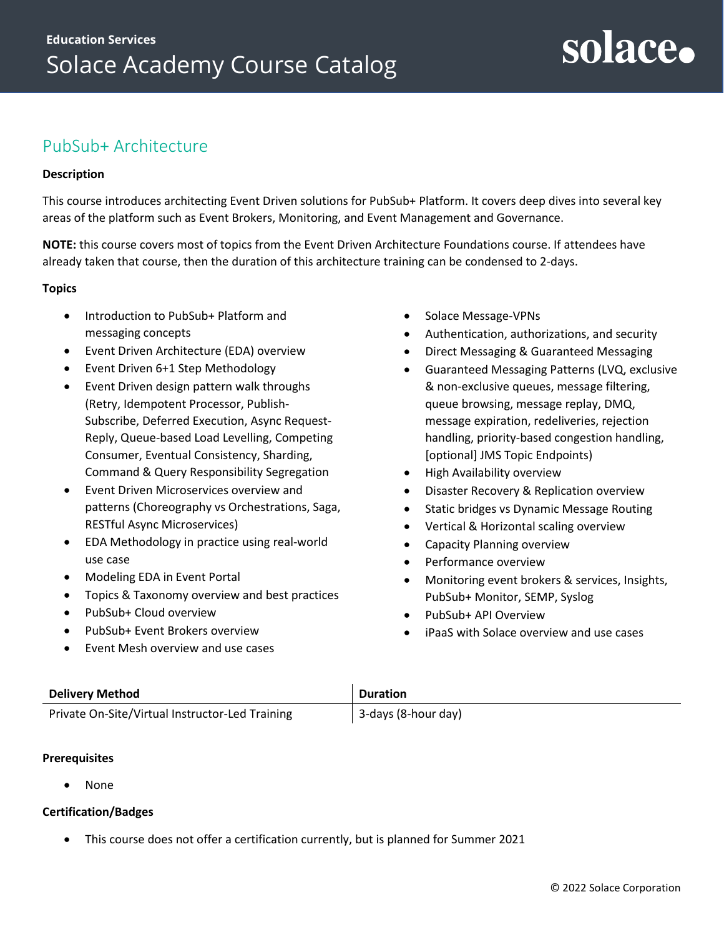## <span id="page-14-0"></span>PubSub+ Architecture

#### **Description**

This course introduces architecting Event Driven solutions for PubSub+ Platform. It covers deep dives into several key areas of the platform such as Event Brokers, Monitoring, and Event Management and Governance.

**NOTE:** this course covers most of topics from the [Event Driven Architecture Foundations](#page-15-0) course. If attendees have already taken that course, then the duration of this architecture training can be condensed to 2-days.

#### **Topics**

- Introduction to PubSub+ Platform and messaging concepts
- Event Driven Architecture (EDA) overview
- Event Driven 6+1 Step Methodology
- Event Driven design pattern walk throughs (Retry, Idempotent Processor, Publish-Subscribe, Deferred Execution, Async Request-Reply, Queue-based Load Levelling, Competing Consumer, Eventual Consistency, Sharding, Command & Query Responsibility Segregation
- Event Driven Microservices overview and patterns (Choreography vs Orchestrations, Saga, RESTful Async Microservices)
- EDA Methodology in practice using real-world use case
- Modeling EDA in Event Portal
- Topics & Taxonomy overview and best practices
- PubSub+ Cloud overview
- PubSub+ Event Brokers overview
- Event Mesh overview and use cases
- Solace Message-VPNs
- Authentication, authorizations, and security

solace.

- Direct Messaging & Guaranteed Messaging
- Guaranteed Messaging Patterns (LVQ, exclusive & non-exclusive queues, message filtering, queue browsing, message replay, DMQ, message expiration, redeliveries, rejection handling, priority-based congestion handling, [optional] JMS Topic Endpoints)
- High Availability overview
- Disaster Recovery & Replication overview
- Static bridges vs Dynamic Message Routing
- Vertical & Horizontal scaling overview
- Capacity Planning overview
- Performance overview
- Monitoring event brokers & services, Insights, PubSub+ Monitor, SEMP, Syslog
- PubSub+ API Overview
- iPaaS with Solace overview and use cases

| <b>Delivery Method</b>                          | <b>Duration</b>     |
|-------------------------------------------------|---------------------|
| Private On-Site/Virtual Instructor-Led Training | 3-days (8-hour day) |

#### **Prerequisites**

• None

#### **Certification/Badges**

• This course does not offer a certification currently, but is planned for Summer 2021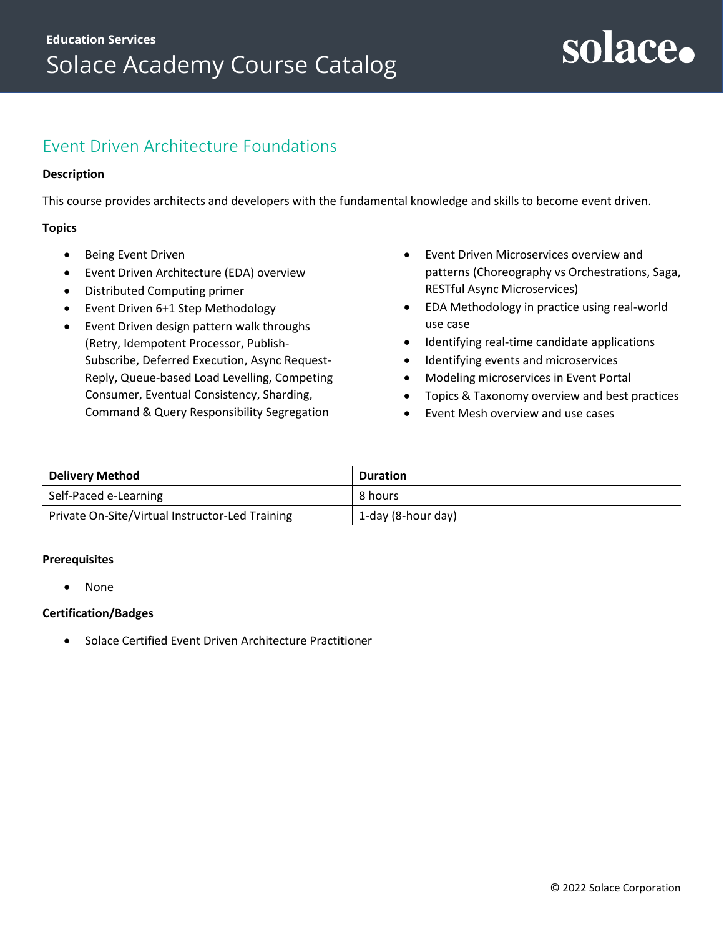### <span id="page-15-0"></span>Event Driven Architecture Foundations

#### **Description**

This course provides architects and developers with the fundamental knowledge and skills to become event driven.

#### **Topics**

- Being Event Driven
- Event Driven Architecture (EDA) overview
- Distributed Computing primer
- Event Driven 6+1 Step Methodology
- Event Driven design pattern walk throughs (Retry, Idempotent Processor, Publish-Subscribe, Deferred Execution, Async Request-Reply, Queue-based Load Levelling, Competing Consumer, Eventual Consistency, Sharding, Command & Query Responsibility Segregation
- Event Driven Microservices overview and patterns (Choreography vs Orchestrations, Saga, RESTful Async Microservices)
- EDA Methodology in practice using real-world use case
- Identifying real-time candidate applications
- Identifying events and microservices
- Modeling microservices in Event Portal
- Topics & Taxonomy overview and best practices
- Event Mesh overview and use cases

| <b>Delivery Method</b>                          | <b>Duration</b>    |
|-------------------------------------------------|--------------------|
| Self-Paced e-Learning                           | 8 hours            |
| Private On-Site/Virtual Instructor-Led Training | 1-day (8-hour day) |

#### **Prerequisites**

• None

#### **Certification/Badges**

• Solace Certified Event Driven Architecture Practitioner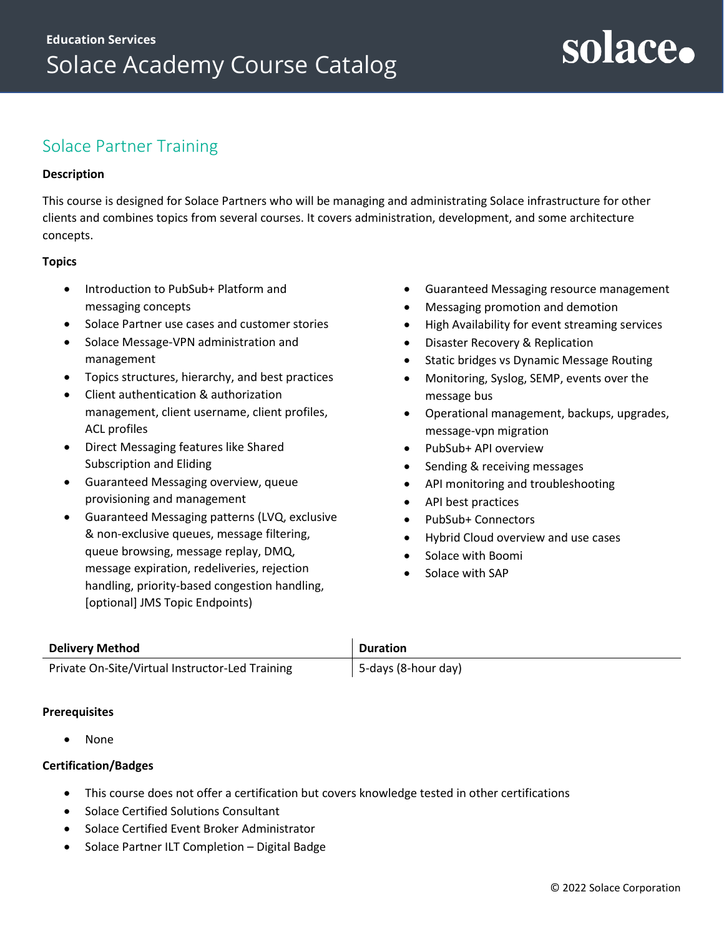## <span id="page-16-0"></span>Solace Partner Training

#### **Description**

This course is designed for Solace Partners who will be managing and administrating Solace infrastructure for other clients and combines topics from several courses. It covers administration, development, and some architecture concepts.

#### **Topics**

- Introduction to PubSub+ Platform and messaging concepts
- Solace Partner use cases and customer stories
- Solace Message-VPN administration and management
- Topics structures, hierarchy, and best practices
- Client authentication & authorization management, client username, client profiles, ACL profiles
- Direct Messaging features like Shared Subscription and Eliding
- Guaranteed Messaging overview, queue provisioning and management
- Guaranteed Messaging patterns (LVQ, exclusive & non-exclusive queues, message filtering, queue browsing, message replay, DMQ, message expiration, redeliveries, rejection handling, priority-based congestion handling, [optional] JMS Topic Endpoints)
- Guaranteed Messaging resource management
- Messaging promotion and demotion
- High Availability for event streaming services
- Disaster Recovery & Replication
- Static bridges vs Dynamic Message Routing
- Monitoring, Syslog, SEMP, events over the message bus
- Operational management, backups, upgrades, message-vpn migration
- PubSub+ API overview
- Sending & receiving messages
- API monitoring and troubleshooting
- API best practices
- PubSub+ Connectors
- Hybrid Cloud overview and use cases
- Solace with Boomi
- Solace with SAP

| <b>Delivery Method</b>                          | <b>Duration</b>     |
|-------------------------------------------------|---------------------|
| Private On-Site/Virtual Instructor-Led Training | 5-days (8-hour day) |

#### **Prerequisites**

• None

- This course does not offer a certification but covers knowledge tested in other certifications
- Solace Certified Solutions Consultant
- Solace Certified Event Broker Administrator
- Solace Partner ILT Completion Digital Badge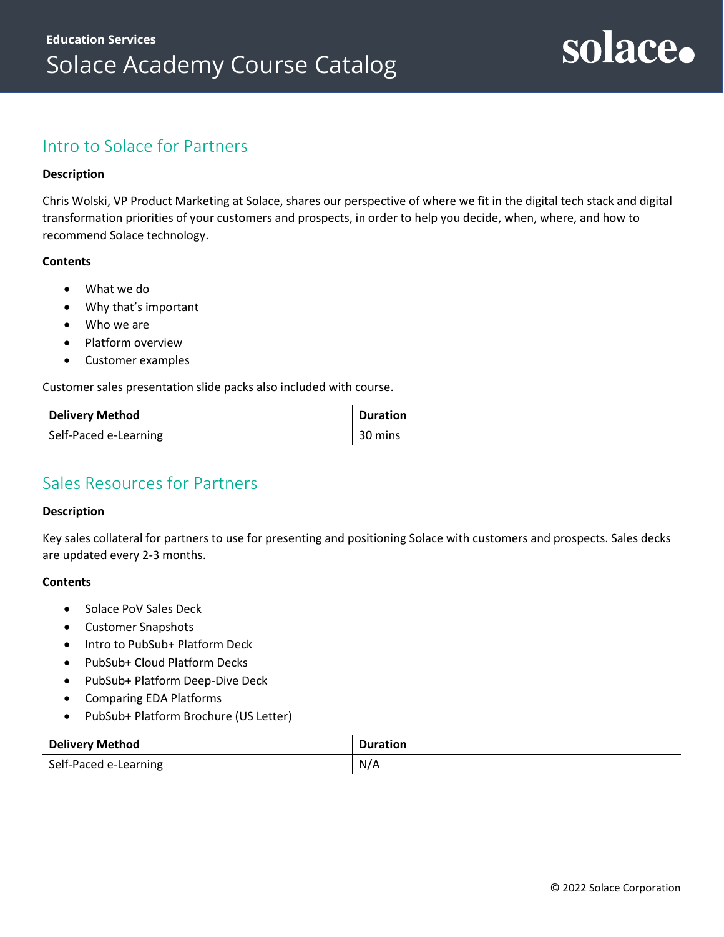### <span id="page-17-0"></span>Intro to Solace for Partners

#### **Description**

Chris Wolski, VP Product Marketing at Solace, shares our perspective of where we fit in the digital tech stack and digital transformation priorities of your customers and prospects, in order to help you decide, when, where, and how to recommend Solace technology.

#### **Contents**

- What we do
- Why that's important
- Who we are
- Platform overview
- Customer examples

Customer sales presentation slide packs also included with course.

| <b>Delivery Method</b> | <b>Duration</b> |
|------------------------|-----------------|
| Self-Paced e-Learning  | 30 mins         |

### <span id="page-17-1"></span>Sales Resources for Partners

#### **Description**

Key sales collateral for partners to use for presenting and positioning Solace with customers and prospects. Sales decks are updated every 2-3 months.

- Solace PoV Sales Deck
- Customer Snapshots
- Intro to PubSub+ Platform Deck
- PubSub+ Cloud Platform Decks
- PubSub+ Platform Deep-Dive Deck
- Comparing EDA Platforms
- PubSub+ Platform Brochure (US Letter)

| <b>Delivery Method</b> | Duration |
|------------------------|----------|
| Self-Paced e-Learning  | N/A      |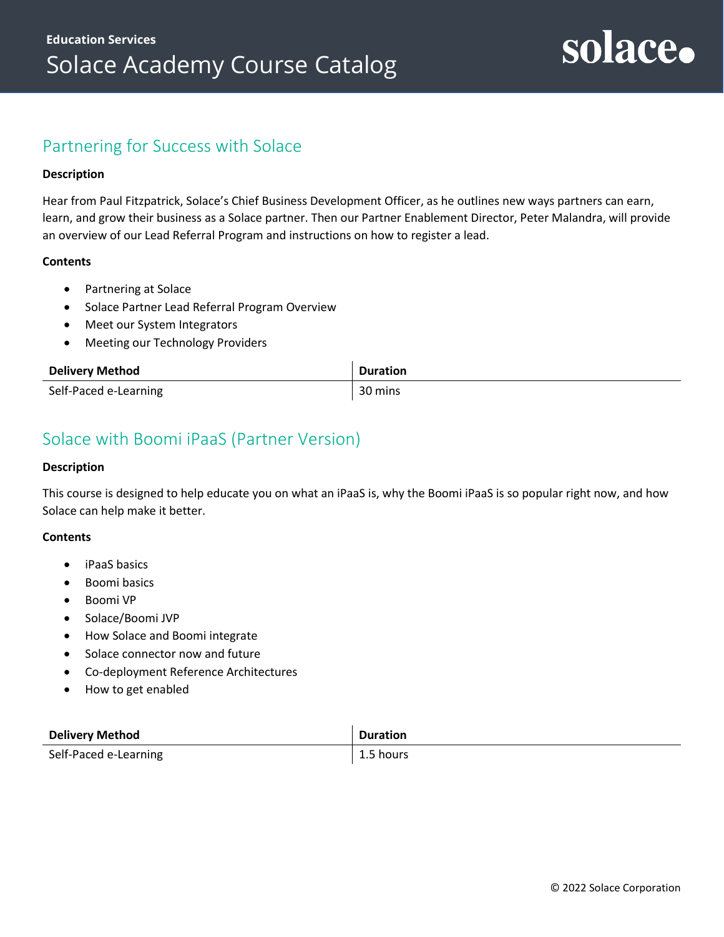### <span id="page-18-0"></span>Partnering for Success with Solace

#### **Description**

Hear from Paul Fitzpatrick, Solace's Chief Business Development Officer, as he outlines new ways partners can earn, learn, and grow their business as a Solace partner. Then our Partner Enablement Director, Peter Malandra, will provide an overview of our Lead Referral Program and instructions on how to register a lead.

#### **Contents**

- Partnering at Solace
- Solace Partner Lead Referral Program Overview
- Meet our System Integrators
- Meeting our Technology Providers

| <b>Delivery Method</b> | <b>Duration</b> |
|------------------------|-----------------|
| Self-Paced e-Learning  | 30 mins         |

## <span id="page-18-1"></span>Solace with Boomi iPaaS (Partner Version)

#### **Description**

This course is designed to help educate you on what an iPaaS is, why the Boomi iPaaS is so popular right now, and how Solace can help make it better.

- iPaaS basics
- Boomi basics
- Boomi VP
- Solace/Boomi JVP
- How Solace and Boomi integrate
- Solace connector now and future
- Co-deployment Reference Architectures
- How to get enabled

| <b>Delivery Method</b> | <b>Duration</b> |
|------------------------|-----------------|
| Self-Paced e-Learning  | 1.5 hours       |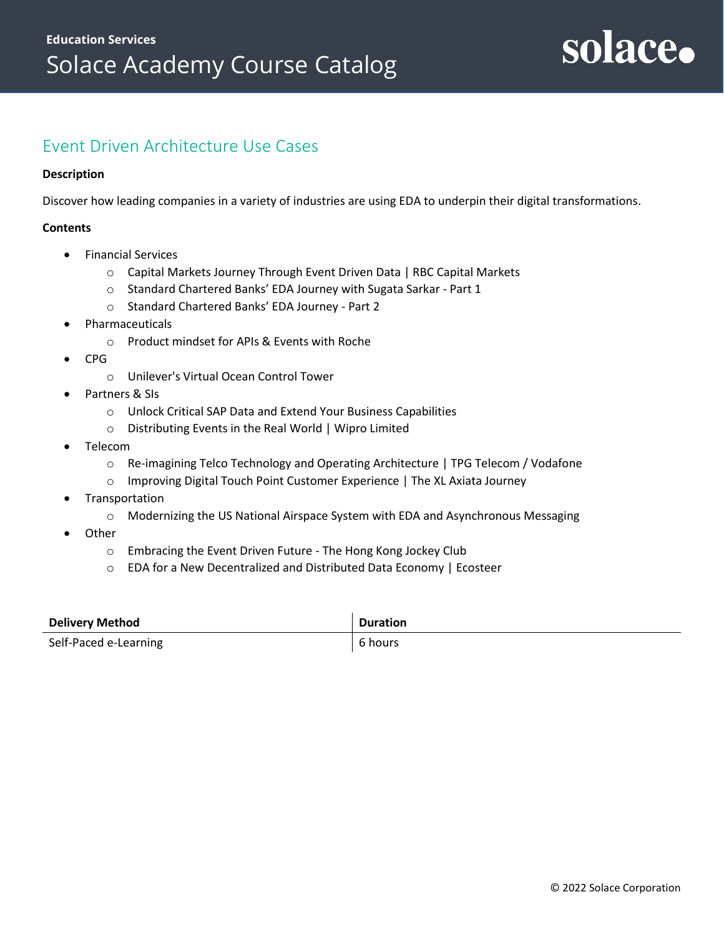### <span id="page-19-0"></span>Event Driven Architecture Use Cases

#### **Description**

Discover how leading companies in a variety of industries are using EDA to underpin their digital transformations.

- Financial Services
	- o Capital Markets Journey Through Event Driven Data | RBC Capital Markets
	- o Standard Chartered Banks' EDA Journey with Sugata Sarkar Part 1
	- o Standard Chartered Banks' EDA Journey Part 2
- **Pharmaceuticals** 
	- o Product mindset for APIs & Events with Roche
- CPG
	- o Unilever's Virtual Ocean Control Tower
- Partners & SIs
	- o Unlock Critical SAP Data and Extend Your Business Capabilities
	- o Distributing Events in the Real World | Wipro Limited
- Telecom
	- o Re-imagining Telco Technology and Operating Architecture | TPG Telecom / Vodafone
	- o Improving Digital Touch Point Customer Experience | The XL Axiata Journey
- **Transportation** 
	- o Modernizing the US National Airspace System with EDA and Asynchronous Messaging
- **Other** 
	- o Embracing the Event Driven Future The Hong Kong Jockey Club
	- o EDA for a New Decentralized and Distributed Data Economy | Ecosteer

| <b>Delivery Method</b> | <b>Duration</b> |
|------------------------|-----------------|
| Self-Paced e-Learning  | 6 hours         |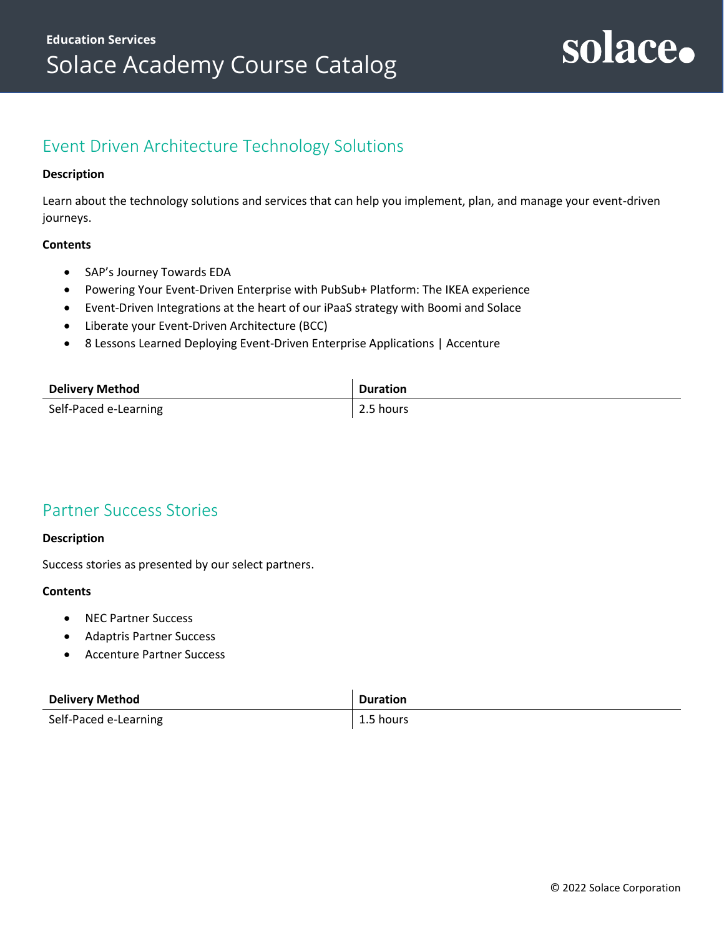## <span id="page-20-0"></span>Event Driven Architecture Technology Solutions

#### **Description**

Learn about the technology solutions and services that can help you implement, plan, and manage your event-driven journeys.

#### **Contents**

- SAP's Journey Towards EDA
- Powering Your Event-Driven Enterprise with PubSub+ Platform: The IKEA experience
- Event-Driven Integrations at the heart of our iPaaS strategy with Boomi and Solace
- Liberate your Event-Driven Architecture (BCC)
- 8 Lessons Learned Deploying Event-Driven Enterprise Applications | Accenture

| <b>Delivery Method</b> | <b>Duration</b> |
|------------------------|-----------------|
| Self-Paced e-Learning  | 2.5 hours       |

### <span id="page-20-1"></span>Partner Success Stories

#### **Description**

Success stories as presented by our select partners.

- NEC Partner Success
- Adaptris Partner Success
- Accenture Partner Success

| <b>Delivery Method</b> | <b>Duration</b> |
|------------------------|-----------------|
| Self-Paced e-Learning  | $1.5$ hours     |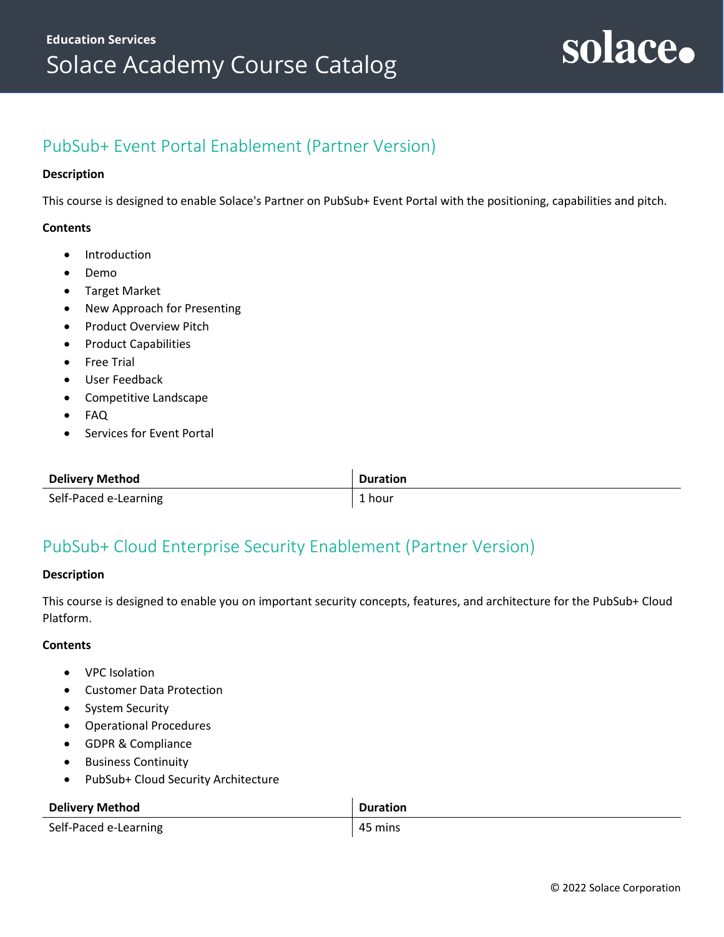## <span id="page-21-0"></span>PubSub+ Event Portal Enablement (Partner Version)

#### **Description**

This course is designed to enable Solace's Partner on PubSub+ Event Portal with the positioning, capabilities and pitch.

#### **Contents**

- Introduction
- Demo
- Target Market
- New Approach for Presenting
- Product Overview Pitch
- Product Capabilities
- Free Trial
- User Feedback
- Competitive Landscape
- FAQ
- Services for Event Portal

| <b>Delivery Method</b> | <b>Duration</b> |
|------------------------|-----------------|
| Self-Paced e-Learning  | 1 hour          |

### <span id="page-21-1"></span>PubSub+ Cloud Enterprise Security Enablement (Partner Version)

#### **Description**

This course is designed to enable you on important security concepts, features, and architecture for the PubSub+ Cloud Platform.

- VPC Isolation
- Customer Data Protection
- System Security
- Operational Procedures
- GDPR & Compliance
- Business Continuity
- PubSub+ Cloud Security Architecture

| <b>Delivery Method</b> | <b>Duration</b> |
|------------------------|-----------------|
| Self-Paced e-Learning  | 45 mins         |